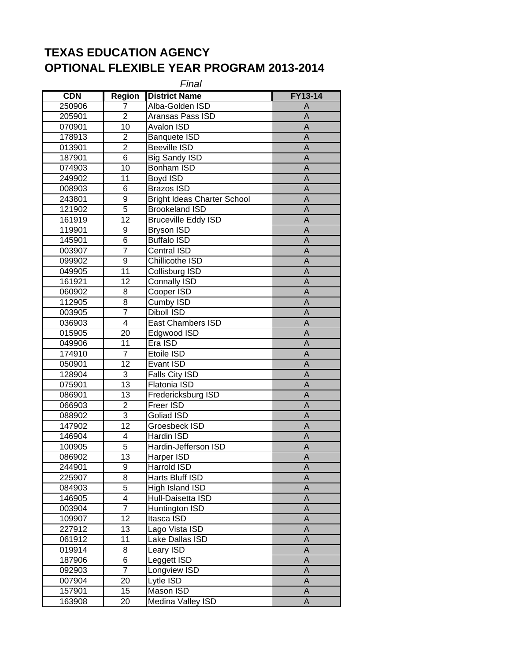## **TEXAS EDUCATION AGENCY OPTIONAL FLEXIBLE YEAR PROGRAM 2013-2014**

| <u>rınai</u> |                         |                                    |                           |  |
|--------------|-------------------------|------------------------------------|---------------------------|--|
| <b>CDN</b>   | <b>Region</b>           | <b>District Name</b>               | FY13-14                   |  |
| 250906       | 7                       | Alba-Golden ISD                    | A                         |  |
| 205901       | $\overline{2}$          | <b>Aransas Pass ISD</b>            | A                         |  |
| 070901       | 10                      | <b>Avalon ISD</b>                  | $\boldsymbol{\mathsf{A}}$ |  |
| 178913       | $\overline{2}$          | <b>Banquete ISD</b>                | A                         |  |
| 013901       | $\overline{2}$          | <b>Beeville ISD</b>                | $\boldsymbol{\mathsf{A}}$ |  |
| 187901       | $\overline{6}$          | <b>Big Sandy ISD</b>               | $\boldsymbol{\mathsf{A}}$ |  |
| 074903       | 10                      | <b>Bonham ISD</b>                  | A                         |  |
| 249902       | 11                      | Boyd ISD                           | $\overline{A}$            |  |
| 008903       | 6                       | <b>Brazos ISD</b>                  | $\overline{A}$            |  |
| 243801       | 9                       | <b>Bright Ideas Charter School</b> | A                         |  |
| 121902       | $\overline{5}$          | <b>Brookeland ISD</b>              | $\boldsymbol{\mathsf{A}}$ |  |
| 161919       | $\overline{12}$         | <b>Bruceville Eddy ISD</b>         | $\overline{A}$            |  |
| 119901       | 9                       | <b>Bryson ISD</b>                  | A                         |  |
| 145901       | $\overline{6}$          | <b>Buffalo ISD</b>                 | A                         |  |
| 003907       | $\overline{7}$          | Central ISD                        | A                         |  |
| 099902       | 9                       | Chillicothe ISD                    | A                         |  |
| 049905       | 11                      | Collisburg ISD                     | A                         |  |
| 161921       | 12                      | <b>Connally ISD</b>                | A                         |  |
| 060902       | 8                       | Cooper ISD                         | A                         |  |
| 112905       | $\overline{8}$          | Cumby ISD                          | A                         |  |
| 003905       | $\overline{7}$          | Diboll ISD                         | A                         |  |
| 036903       | $\overline{\mathbf{4}}$ | <b>East Chambers ISD</b>           | A                         |  |
| 015905       | 20                      | Edgwood ISD                        | A                         |  |
| 049906       | 11                      | Era ISD                            | $\mathsf A$               |  |
| 174910       | $\overline{7}$          | Etoile ISD                         | $\overline{A}$            |  |
| 050901       | 12                      | Evant ISD                          | $\mathsf A$               |  |
| 128904       | 3                       | Falls City ISD                     | $\mathsf A$               |  |
| 075901       | $\overline{13}$         | Flatonia ISD                       | $\overline{A}$            |  |
| 086901       | $\overline{13}$         | Fredericksburg ISD                 | $\overline{A}$            |  |
| 066903       | $\overline{2}$          | Freer ISD                          | $\overline{A}$            |  |
| 088902       | $\overline{3}$          | Goliad ISD                         | $\overline{A}$            |  |
| 147902       | 12                      | Groesbeck ISD                      | A                         |  |
| 146904       | 4                       | <b>Hardin ISD</b>                  | A                         |  |
| 100905       | $\overline{5}$          | Hardin-Jefferson ISD               | A                         |  |
| 086902       | 13                      | Harper ISD                         | A                         |  |
| 244901       | 9                       | Harrold ISD                        | A                         |  |
| 225907       | 8                       | Harts Bluff ISD                    | A                         |  |
| 084903       | 5                       | High Island ISD                    | A                         |  |
| 146905       | $\overline{\mathbf{4}}$ | Hull-Daisetta ISD                  | A                         |  |
| 003904       | $\overline{7}$          | Huntington ISD                     | A                         |  |
| 109907       | 12                      | Itasca ISD                         | A                         |  |
| 227912       | 13                      | Lago Vista ISD                     | A                         |  |
| 061912       | 11                      | Lake Dallas ISD                    | A                         |  |
| 019914       | 8                       | Leary ISD                          | A                         |  |
| 187906       | $\overline{6}$          | Leggett ISD                        | A                         |  |
| 092903       | $\overline{7}$          | Longview ISD                       | A                         |  |
| 007904       | 20                      | Lytle ISD                          | A                         |  |
| 157901       | 15                      | Mason ISD                          | A                         |  |
| 163908       | 20                      | Medina Valley ISD                  | $\mathsf A$               |  |

*Final*